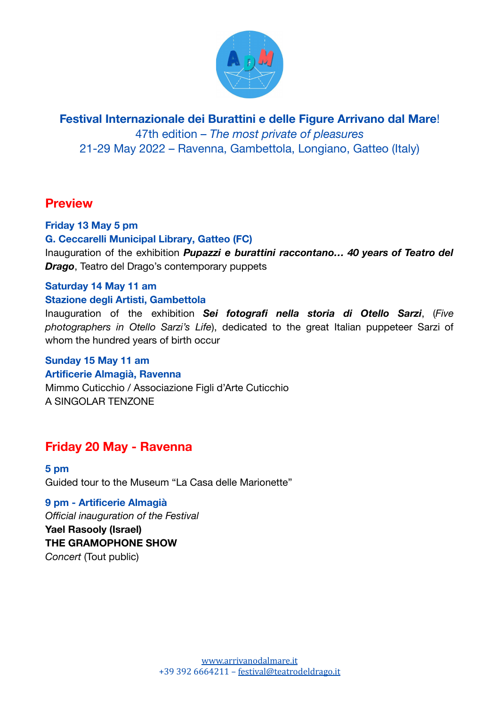

**Festival Internazionale dei Burattini e delle Figure Arrivano dal Mare**!

47th edition – *The most private of pleasures* 21-29 May 2022 – Ravenna, Gambettola, Longiano, Gatteo (Italy)

## **Preview**

#### **Friday 13 May 5 pm**

#### **G. Ceccarelli Municipal Library, Gatteo (FC)**

Inauguration of the exhibition *Pupazzi e burattini raccontano… 40 years of Teatro del Drago*, Teatro del Drago's contemporary puppets

#### **Saturday 14 May 11 am**

#### **Stazione degli Artisti, Gambettola**

Inauguration of the exhibition *Sei fotografi nella storia di Otello Sarzi*, (*Five photographers in Otello Sarzi's Life*), dedicated to the great Italian puppeteer Sarzi of whom the hundred years of birth occur

## **Sunday 15 May 11 am**

#### **Artificerie Almagià, Ravenna**

Mimmo Cuticchio / Associazione Figli d'Arte Cuticchio A SINGOLAR TENZONE

## **Friday 20 May - Ravenna**

**5 pm** Guided tour to the Museum "La Casa delle Marionette"

## **9 pm - Artificerie Almagià**

*Official inauguration of the Festival*

**Yael Rasooly (Israel) THE GRAMOPHONE SHOW** *Concert* (Tout public)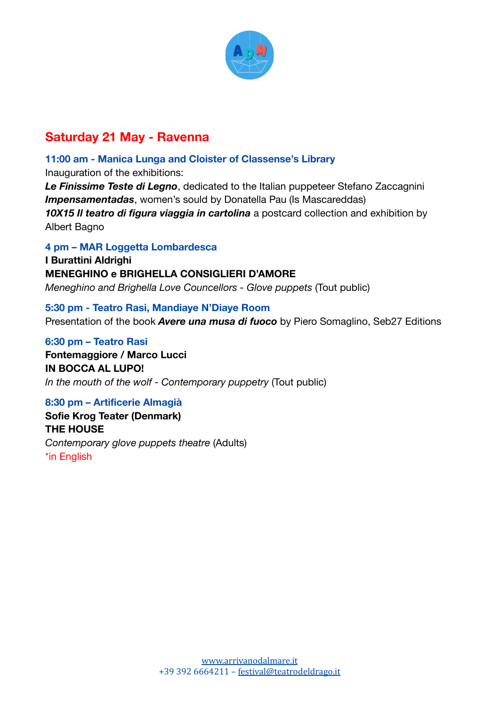

# **Saturday 21 May - Ravenna**

**11:00 am - Manica Lunga and Cloister of Classense's Library** Inauguration of the exhibitions: *Le Finissime Teste di Legno*, dedicated to the Italian puppeteer Stefano Zaccagnini *Impensamentadas*, women's sould by Donatella Pau (Is Mascareddas) *10X15 Il teatro di figura viaggia in cartolina* a postcard collection and exhibition by Albert Bagno

#### **4 pm – MAR Loggetta Lombardesca**

**I Burattini Aldrighi MENEGHINO e BRIGHELLA CONSIGLIERI D'AMORE** *Meneghino and Brighella Love Councellors - Glove puppets* (Tout public)

**5:30 pm - Teatro Rasi, Mandiaye N'Diaye Room** Presentation of the book *Avere una musa di fuoco* by Piero Somaglino, Seb27 Editions

**6:30 pm – Teatro Rasi Fontemaggiore / Marco Lucci IN BOCCA AL LUPO!** *In the mouth of the wolf - Contemporary puppetry* (Tout public)

#### **8:30 pm – Artificerie Almagià**

**Sofie Krog Teater (Denmark) THE HOUSE** *Contemporary glove puppets theatre* (Adults) \*in English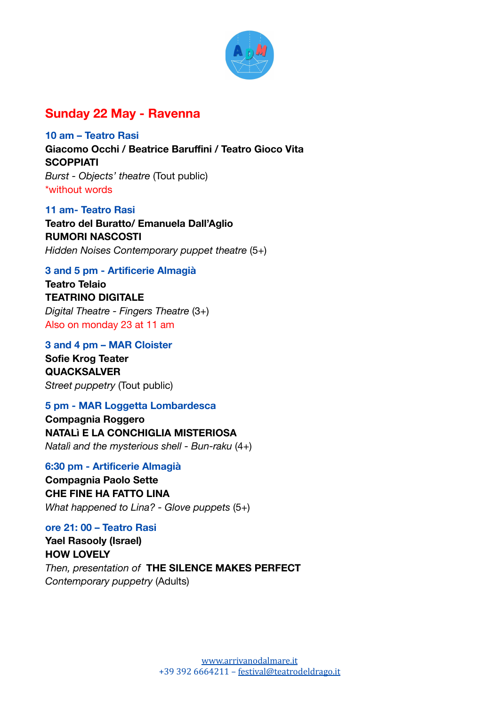

## **Sunday 22 May - Ravenna**

**10 am – Teatro Rasi Giacomo Occhi / Beatrice Baruffini / Teatro Gioco Vita SCOPPIATI** *Burst - Objects' theatre* (Tout public) \*without words

**11 am- Teatro Rasi Teatro del Buratto/ Emanuela Dall'Aglio RUMORI NASCOSTI** *Hidden Noises Contemporary puppet theatre* (5+)

#### **3 and 5 pm - Artificerie Almagià**

**Teatro Telaio TEATRINO DIGITALE** *Digital Theatre - Fingers Theatre* (3+) Also on monday 23 at 11 am

**3 and 4 pm – MAR Cloister Sofie Krog Teater QUACKSALVER** *Street puppetry* (Tout public)

#### **5 pm - MAR Loggetta Lombardesca**

**Compagnia Roggero NATALì E LA CONCHIGLIA MISTERIOSA** *Natalì and the mysterious shell - Bun-raku* (4+)

**6:30 pm - Artificerie Almagià Compagnia Paolo Sette CHE FINE HA FATTO LINA** *What happened to Lina? - Glove puppets* (5+)

#### **ore 21: 00 – Teatro Rasi**

**Yael Rasooly (Israel) HOW LOVELY** *Then, presentation of* **THE SILENCE MAKES PERFECT** *Contemporary puppetry* (Adults)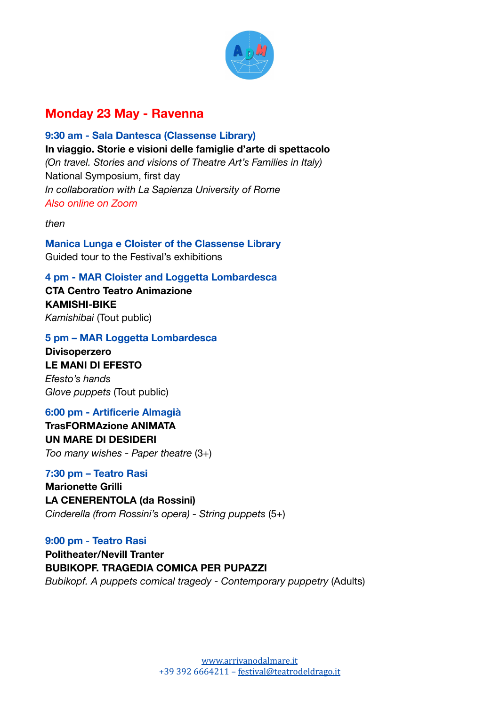

# **Monday 23 May - Ravenna**

**9:30 am - Sala Dantesca (Classense Library) In viaggio. Storie e visioni delle famiglie d'arte di spettacolo** *(On travel. Stories and visions of Theatre Art's Families in Italy)* National Symposium, first day *In collaboration with La Sapienza University of Rome Also online on Zoom*

*then*

**Manica Lunga e Cloister of the Classense Library** Guided tour to the Festival's exhibitions

**4 pm - MAR Cloister and Loggetta Lombardesca**

**CTA Centro Teatro Animazione KAMISHI-BIKE** *Kamishibai* (Tout public)

#### **5 pm – MAR Loggetta Lombardesca**

**Divisoperzero LE MANI DI EFESTO** *Efesto's hands Glove puppets* (Tout public)

#### **6:00 pm - Artificerie Almagià**

**TrasFORMAzione ANIMATA UN MARE DI DESIDERI** *Too many wishes - Paper theatre* (3+)

#### **7:30 pm – Teatro Rasi**

**Marionette Grilli LA CENERENTOLA (da Rossini)** *Cinderella (from Rossini's opera) - String puppets* (5+)

**9:00 pm** - **Teatro Rasi**

**Politheater/Nevill Tranter BUBIKOPF. TRAGEDIA COMICA PER PUPAZZI** *Bubikopf. A puppets comical tragedy - Contemporary puppetry* (Adults)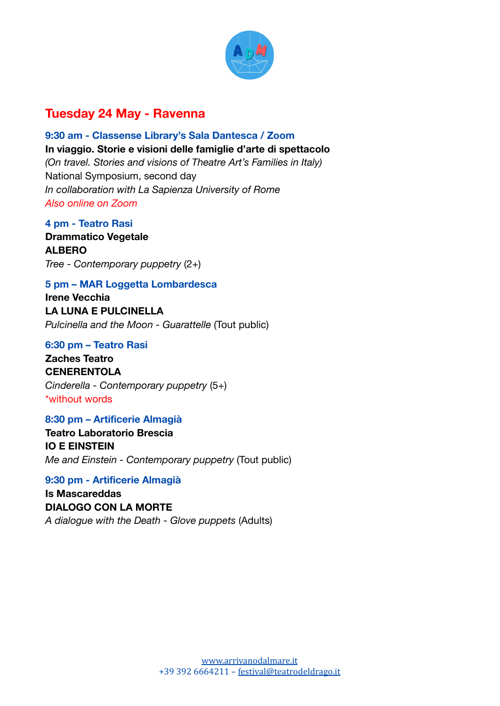

# **Tuesday 24 May - Ravenna**

**9:30 am - Classense Library's Sala Dantesca / Zoom In viaggio. Storie e visioni delle famiglie d'arte di spettacolo** *(On travel. Stories and visions of Theatre Art's Families in Italy)* National Symposium, second day *In collaboration with La Sapienza University of Rome Also online on Zoom*

**4 pm - Teatro Rasi Drammatico Vegetale ALBERO** *Tree - Contemporary puppetry* (2+)

### **5 pm – MAR Loggetta Lombardesca**

**Irene Vecchia LA LUNA E PULCINELLA** *Pulcinella and the Moon - Guarattelle* (Tout public)

#### **6:30 pm – Teatro Rasi**

**Zaches Teatro CENERENTOLA** *Cinderella - Contemporary puppetry* (5+) \*without words

#### **8:30 pm – Artificerie Almagià**

**Teatro Laboratorio Brescia IO E EINSTEIN** *Me and Einstein - Contemporary puppetry* (Tout public)

**9:30 pm - Artificerie Almagià Is Mascareddas DIALOGO CON LA MORTE** *A dialogue with the Death - Glove puppets* (Adults)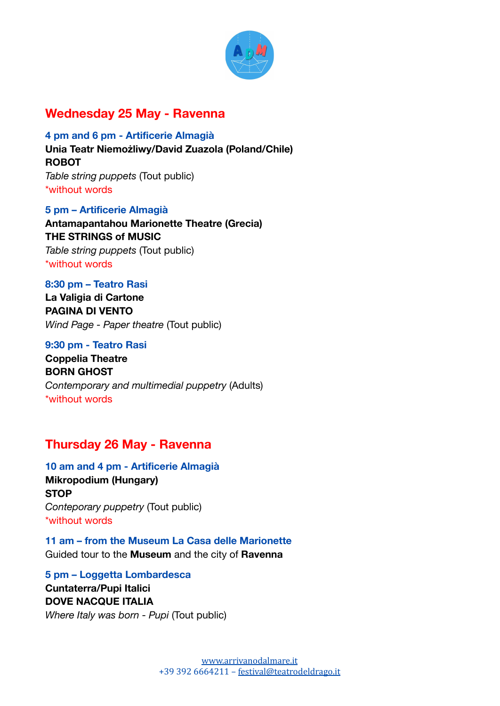

# **Wednesday 25 May - Ravenna**

**4 pm and 6 pm - Artificerie Almagià Unia Teatr Niemożliwy/David Zuazola (Poland/Chile) ROBOT** *Table string puppets* (Tout public) \*without words

**5 pm – Artificerie Almagià**

**Antamapantahou Marionette Theatre (Grecia) THE STRINGS of MUSIC** *Table string puppets* (Tout public) \*without words

#### **8:30 pm – Teatro Rasi**

**La Valigia di Cartone PAGINA DI VENTO** *Wind Page - Paper theatre* (Tout public)

#### **9:30 pm - Teatro Rasi**

**Coppelia Theatre BORN GHOST** *Contemporary and multimedial puppetry* (Adults) \*without words

## **Thursday 26 May - Ravenna**

**10 am and 4 pm - Artificerie Almagià Mikropodium (Hungary) STOP** *Conteporary puppetry* (Tout public) \*without words

**11 am – from the Museum La Casa delle Marionette** Guided tour to the **Museum** and the city of **Ravenna**

**5 pm – Loggetta Lombardesca Cuntaterra/Pupi Italici DOVE NACQUE ITALIA** *Where Italy was born - Pupi* (Tout public)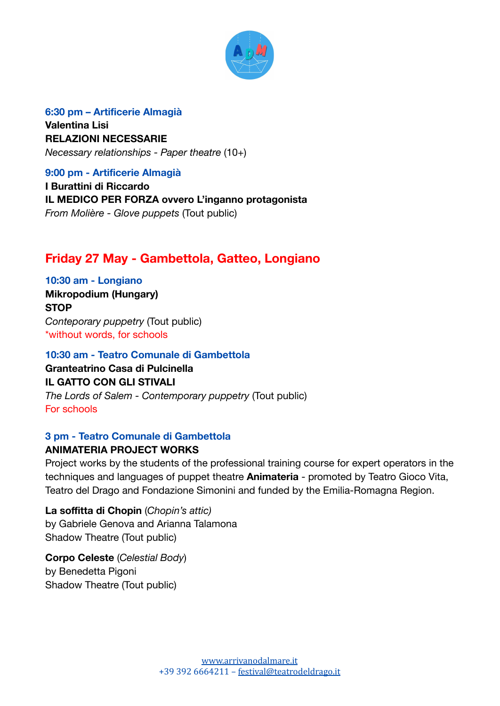

**6:30 pm – Artificerie Almagià Valentina Lisi RELAZIONI NECESSARIE** *Necessary relationships - Paper theatre* (10+)

**9:00 pm - Artificerie Almagià**

**I Burattini di Riccardo IL MEDICO PER FORZA ovvero L'inganno protagonista** *From Molière - Glove puppets* (Tout public)

# **Friday 27 May - Gambettola, Gatteo, Longiano**

**10:30 am - Longiano Mikropodium (Hungary) STOP** *Conteporary puppetry* (Tout public) \*without words, for schools

**10:30 am - Teatro Comunale di Gambettola Granteatrino Casa di Pulcinella IL GATTO CON GLI STIVALI** *The Lords of Salem - Contemporary puppetry* (Tout public) For schools

### **3 pm - Teatro Comunale di Gambettola**

### **ANIMATERIA PROJECT WORKS**

Project works by the students of the professional training course for expert operators in the techniques and languages of puppet theatre **Animateria** - promoted by Teatro Gioco Vita, Teatro del Drago and Fondazione Simonini and funded by the Emilia-Romagna Region.

**La soffitta di Chopin** (*Chopin's attic)* by Gabriele Genova and Arianna Talamona Shadow Theatre (Tout public)

**Corpo Celeste** (*Celestial Body*) by Benedetta Pigoni Shadow Theatre (Tout public)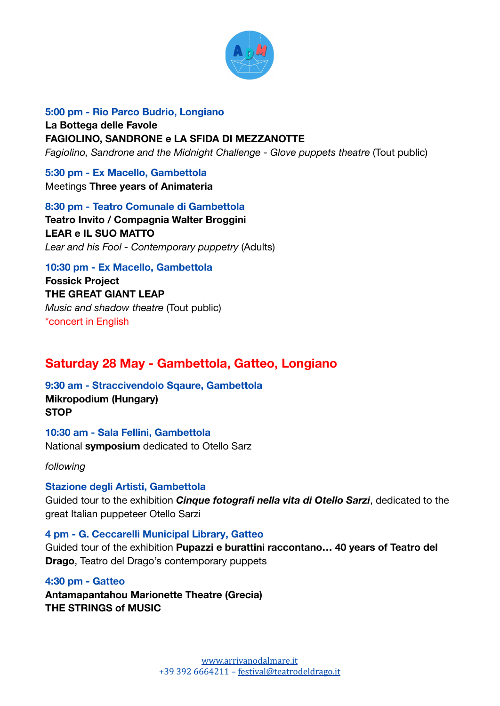

**5:00 pm - Rio Parco Budrio, Longiano La Bottega delle Favole FAGIOLINO, SANDRONE e LA SFIDA DI MEZZANOTTE** *Fagiolino, Sandrone and the Midnight Challenge - Glove puppets theatre* (Tout public)

**5:30 pm - Ex Macello, Gambettola** Meetings **Three years of Animateria**

**8:30 pm - Teatro Comunale di Gambettola Teatro Invito / Compagnia Walter Broggini LEAR e IL SUO MATTO** *Lear and his Fool - Contemporary puppetry* (Adults)

**10:30 pm - Ex Macello, Gambettola Fossick Project THE GREAT GIANT LEAP** *Music and shadow theatre* (Tout public) \*concert in English

# **Saturday 28 May - Gambettola, Gatteo, Longiano**

**9:30 am - Straccivendolo Sqaure, Gambettola Mikropodium (Hungary) STOP**

**10:30 am - Sala Fellini, Gambettola** National **symposium** dedicated to Otello Sarz

*following*

**Stazione degli Artisti, Gambettola** Guided tour to the exhibition *Cinque fotografi nella vita di Otello Sarzi*, dedicated to the great Italian puppeteer Otello Sarzi

**4 pm - G. Ceccarelli Municipal Library, Gatteo** Guided tour of the exhibition **Pupazzi e burattini raccontano… 40 years of Teatro del Drago**, Teatro del Drago's contemporary puppets

**4:30 pm - Gatteo Antamapantahou Marionette Theatre (Grecia) THE STRINGS of MUSIC**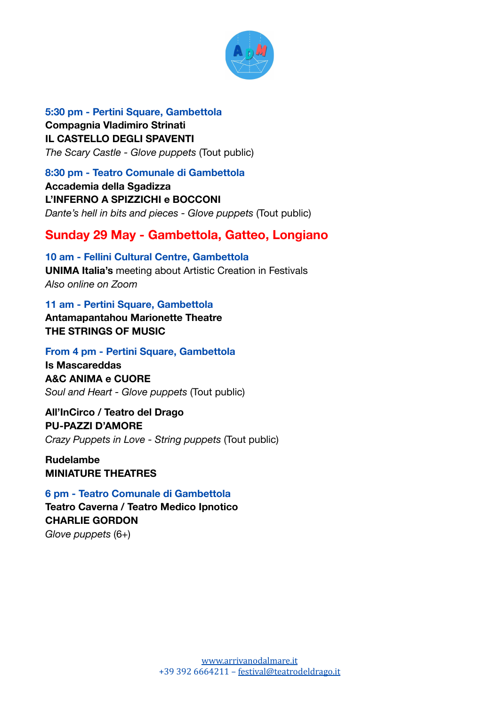

**5:30 pm - Pertini Square, Gambettola Compagnia Vladimiro Strinati IL CASTELLO DEGLI SPAVENTI** *The Scary Castle - Glove puppets* (Tout public)

#### **8:30 pm - Teatro Comunale di Gambettola**

**Accademia della Sgadizza L'INFERNO A SPIZZICHI e BOCCONI** *Dante's hell in bits and pieces - Glove puppets* (Tout public)

## **Sunday 29 May - Gambettola, Gatteo, Longiano**

**10 am - Fellini Cultural Centre, Gambettola UNIMA Italia's** meeting about Artistic Creation in Festivals *Also online on Zoom*

**11 am - Pertini Square, Gambettola Antamapantahou Marionette Theatre THE STRINGS OF MUSIC**

### **From 4 pm - Pertini Square, Gambettola**

**Is Mascareddas A&C ANIMA e CUORE** *Soul and Heart - Glove puppets* (Tout public)

**All'InCirco / Teatro del Drago PU-PAZZI D'AMORE** *Crazy Puppets in Love - String puppets* (Tout public)

**Rudelambe MINIATURE THEATRES**

**6 pm - Teatro Comunale di Gambettola Teatro Caverna / Teatro Medico Ipnotico CHARLIE GORDON** *Glove puppets* (6+)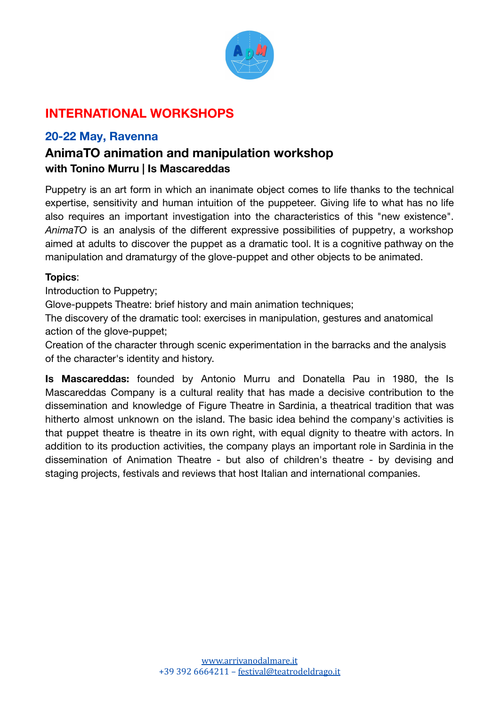

# **INTERNATIONAL WORKSHOPS**

## **20-22 May, Ravenna**

# **AnimaTO animation and manipulation workshop with Tonino Murru | Is Mascareddas**

Puppetry is an art form in which an inanimate object comes to life thanks to the technical expertise, sensitivity and human intuition of the puppeteer. Giving life to what has no life also requires an important investigation into the characteristics of this "new existence". *AnimaTO* is an analysis of the different expressive possibilities of puppetry, a workshop aimed at adults to discover the puppet as a dramatic tool. It is a cognitive pathway on the manipulation and dramaturgy of the glove-puppet and other objects to be animated.

### **Topics**:

Introduction to Puppetry;

Glove-puppets Theatre: brief history and main animation techniques;

The discovery of the dramatic tool: exercises in manipulation, gestures and anatomical action of the glove-puppet;

Creation of the character through scenic experimentation in the barracks and the analysis of the character's identity and history.

**Is Mascareddas:** founded by Antonio Murru and Donatella Pau in 1980, the Is Mascareddas Company is a cultural reality that has made a decisive contribution to the dissemination and knowledge of Figure Theatre in Sardinia, a theatrical tradition that was hitherto almost unknown on the island. The basic idea behind the company's activities is that puppet theatre is theatre in its own right, with equal dignity to theatre with actors. In addition to its production activities, the company plays an important role in Sardinia in the dissemination of Animation Theatre - but also of children's theatre - by devising and staging projects, festivals and reviews that host Italian and international companies.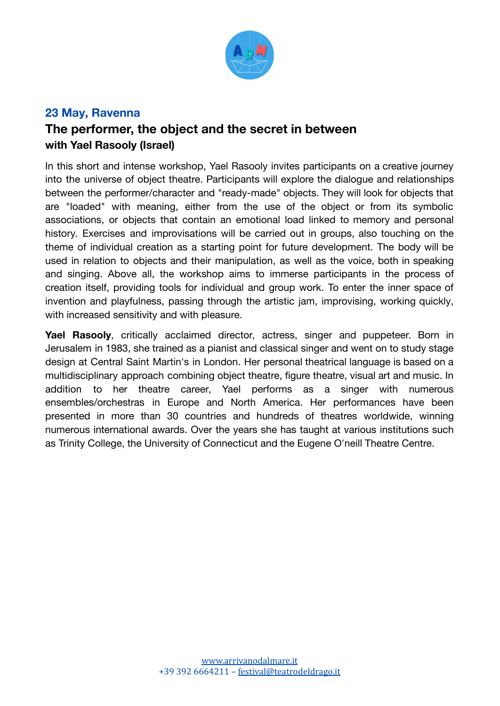

### **23 May, Ravenna**

# **The performer, the object and the secret in between with Yael Rasooly (Israel)**

In this short and intense workshop, Yael Rasooly invites participants on a creative journey into the universe of object theatre. Participants will explore the dialogue and relationships between the performer/character and "ready-made" objects. They will look for objects that are "loaded" with meaning, either from the use of the object or from its symbolic associations, or objects that contain an emotional load linked to memory and personal history. Exercises and improvisations will be carried out in groups, also touching on the theme of individual creation as a starting point for future development. The body will be used in relation to objects and their manipulation, as well as the voice, both in speaking and singing. Above all, the workshop aims to immerse participants in the process of creation itself, providing tools for individual and group work. To enter the inner space of invention and playfulness, passing through the artistic jam, improvising, working quickly, with increased sensitivity and with pleasure.

**Yael Rasooly**, critically acclaimed director, actress, singer and puppeteer. Born in Jerusalem in 1983, she trained as a pianist and classical singer and went on to study stage design at Central Saint Martin's in London. Her personal theatrical language is based on a multidisciplinary approach combining object theatre, figure theatre, visual art and music. In addition to her theatre career, Yael performs as a singer with numerous ensembles/orchestras in Europe and North America. Her performances have been presented in more than 30 countries and hundreds of theatres worldwide, winning numerous international awards. Over the years she has taught at various institutions such as Trinity College, the University of Connecticut and the Eugene O'neill Theatre Centre.